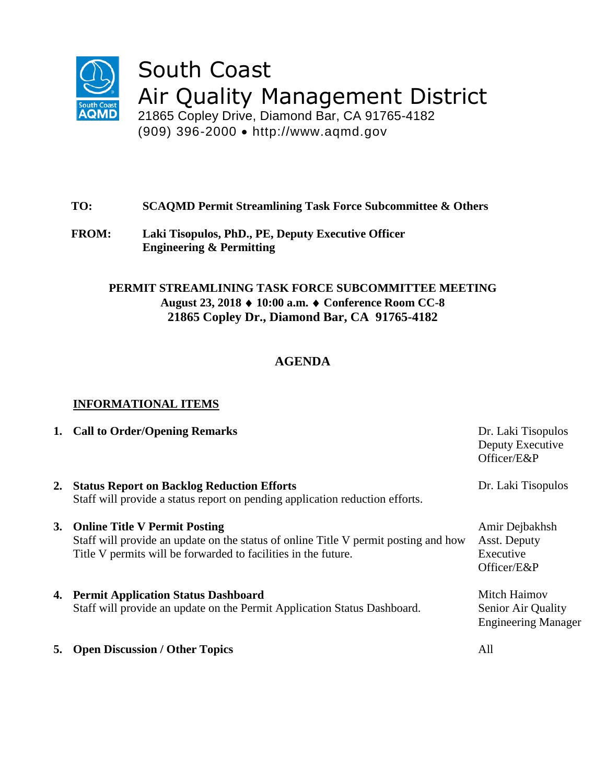

# South Coast Air Quality Management District

21865 Copley Drive, Diamond Bar, CA 91765-4182 (909) 396-2000 http://www.aqmd.gov

## **TO: SCAQMD Permit Streamlining Task Force Subcommittee & Others**

**FROM: Laki Tisopulos, PhD., PE, Deputy Executive Officer Engineering & Permitting**

### **PERMIT STREAMLINING TASK FORCE SUBCOMMITTEE MEETING August 23, 2018 10:00 a.m. Conference Room CC-8 21865 Copley Dr., Diamond Bar, CA 91765-4182**

## **AGENDA**

## **INFORMATIONAL ITEMS**

|    | 1. Call to Order/Opening Remarks                                                                                                                                                          | Dr. Laki Tisopulos<br>Deputy Executive<br>Officer/E&P            |
|----|-------------------------------------------------------------------------------------------------------------------------------------------------------------------------------------------|------------------------------------------------------------------|
| 2. | <b>Status Report on Backlog Reduction Efforts</b><br>Staff will provide a status report on pending application reduction efforts.                                                         | Dr. Laki Tisopulos                                               |
|    | 3. Online Title V Permit Posting<br>Staff will provide an update on the status of online Title V permit posting and how<br>Title V permits will be forwarded to facilities in the future. | Amir Dejbakhsh<br>Asst. Deputy<br>Executive<br>Officer/E&P       |
|    | 4. Permit Application Status Dashboard<br>Staff will provide an update on the Permit Application Status Dashboard.                                                                        | Mitch Haimov<br>Senior Air Quality<br><b>Engineering Manager</b> |
|    | <b>5. Open Discussion / Other Topics</b>                                                                                                                                                  | All                                                              |